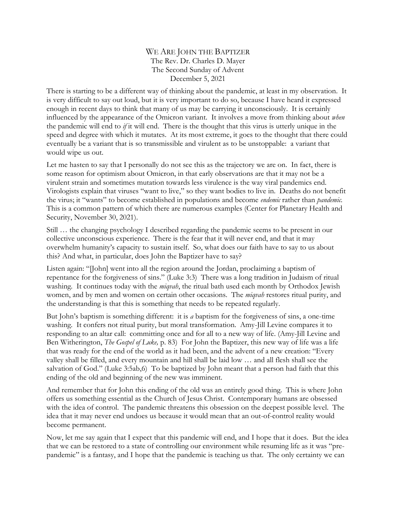## WE ARE JOHN THE BAPTIZER The Rev. Dr. Charles D. Mayer The Second Sunday of Advent December 5, 2021

There is starting to be a different way of thinking about the pandemic, at least in my observation. It is very difficult to say out loud, but it is very important to do so, because I have heard it expressed enough in recent days to think that many of us may be carrying it unconsciously. It is certainly influenced by the appearance of the Omicron variant. It involves a move from thinking about *when* the pandemic will end to *if* it will end. There is the thought that this virus is utterly unique in the speed and degree with which it mutates. At its most extreme, it goes to the thought that there could eventually be a variant that is so transmissible and virulent as to be unstoppable: a variant that would wipe us out.

Let me hasten to say that I personally do not see this as the trajectory we are on. In fact, there is some reason for optimism about Omicron, in that early observations are that it may not be a virulent strain and sometimes mutation towards less virulence is the way viral pandemics end. Virologists explain that viruses "want to live," so they want bodies to live in. Deaths do not benefit the virus; it "wants" to become established in populations and become *endemic* rather than *pandemic.*  This is a common pattern of which there are numerous examples (Center for Planetary Health and Security, November 30, 2021).

Still … the changing psychology I described regarding the pandemic seems to be present in our collective unconscious experience. There is the fear that it will never end, and that it may overwhelm humanity's capacity to sustain itself. So, what does our faith have to say to us about this? And what, in particular, does John the Baptizer have to say?

Listen again: "[John] went into all the region around the Jordan, proclaiming a baptism of repentance for the forgiveness of sins." (Luke 3:3) There was a long tradition in Judaism of ritual washing. It continues today with the *miqvah*, the ritual bath used each month by Orthodox Jewish women, and by men and women on certain other occasions. The *miqvah* restores ritual purity, and the understanding is that this is something that needs to be repeated regularly.

But John's baptism is something different: it is *a* baptism for the forgiveness of sins, a one-time washing. It confers not ritual purity, but moral transformation. Amy-Jill Levine compares it to responding to an altar call: committing once and for all to a new way of life. (Amy-Jill Levine and Ben Witherington, *The Gospel of Luke,* p. 83) For John the Baptizer, this new way of life was a life that was ready for the end of the world as it had been, and the advent of a new creation: "Every valley shall be filled, and every mountain and hill shall be laid low … and all flesh shall see the salvation of God." (Luke 3:5ab,6) To be baptized by John meant that a person had faith that this ending of the old and beginning of the new was imminent.

And remember that for John this ending of the old was an entirely good thing. This is where John offers us something essential as the Church of Jesus Christ. Contemporary humans are obsessed with the idea of control. The pandemic threatens this obsession on the deepest possible level. The idea that it may never end undoes us because it would mean that an out-of-control reality would become permanent.

Now, let me say again that I expect that this pandemic will end, and I hope that it does. But the idea that we can be restored to a state of controlling our environment while resuming life as it was "prepandemic" is a fantasy, and I hope that the pandemic is teaching us that. The only certainty we can